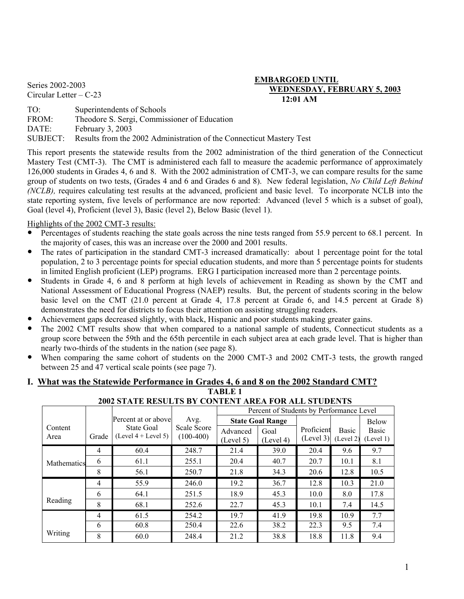## **EMBARGOED UNTIL**<br>**EMBARGOED UNTIL**<br>**EMBARGOED UNTIL** Series 2002-2003<br>Circular Letter – C-23 **WEDNESDAY, FEBRUARY 5, 2003 12:01 AM**

TO: Superintendents of Schools FROM: Theodore S. Sergi, Commissioner of Education DATE: February 3, 2003 SUBJECT: Results from the 2002 Administration of the Connecticut Mastery Test

This report presents the statewide results from the 2002 administration of the third generation of the Connecticut Mastery Test (CMT-3). The CMT is administered each fall to measure the academic performance of approximately 126,000 students in Grades 4, 6 and 8. With the 2002 administration of CMT-3, we can compare results for the same group of students on two tests, (Grades 4 and 6 and Grades 6 and 8). New federal legislation, *No Child Left Behind (NCLB),* requires calculating test results at the advanced, proficient and basic level. To incorporate NCLB into the state reporting system, five levels of performance are now reported: Advanced (level 5 which is a subset of goal), Goal (level 4), Proficient (level 3), Basic (level 2), Below Basic (level 1).

## Highlights of the 2002 CMT-3 results:

- Percentages of students reaching the state goals across the nine tests ranged from 55.9 percent to 68.1 percent. In the majority of cases, this was an increase over the 2000 and 2001 results.
- The rates of participation in the standard CMT-3 increased dramatically: about 1 percentage point for the total population, 2 to 3 percentage points for special education students, and more than 5 percentage points for students in limited English proficient (LEP) programs. ERG I participation increased more than 2 percentage points.
- y Students in Grade 4, 6 and 8 perform at high levels of achievement in Reading as shown by the CMT and National Assessment of Educational Progress (NAEP) results. But, the percent of students scoring in the below basic level on the CMT (21.0 percent at Grade 4, 17.8 percent at Grade 6, and 14.5 percent at Grade 8) demonstrates the need for districts to focus their attention on assisting struggling readers.
- Achievement gaps decreased slightly, with black, Hispanic and poor students making greater gains.
- The 2002 CMT results show that when compared to a national sample of students, Connecticut students as a group score between the 59th and the 65th percentile in each subject area at each grade level. That is higher than nearly two-thirds of the students in the nation (see page 8).
- When comparing the same cohort of students on the 2000 CMT-3 and 2002 CMT-3 tests, the growth ranged between 25 and 47 vertical scale points (see page 7).

#### **I. What was the Statewide Performance in Grades 4, 6 and 8 on the 2002 Standard CMT? TABLE 1**

|                 |       | 2002 STATE RESULTS BT CONTENT AREA FOR ALL STUDENTS |                            |                       |                                          |                         |                           |                           |
|-----------------|-------|-----------------------------------------------------|----------------------------|-----------------------|------------------------------------------|-------------------------|---------------------------|---------------------------|
|                 |       |                                                     |                            |                       | Percent of Students by Performance Level |                         |                           |                           |
|                 |       | Percent at or above                                 | Avg.                       |                       | <b>State Goal Range</b>                  |                         |                           | <b>Below</b>              |
| Content<br>Area | Grade | State Goal<br>$(Level 4 + Level 5)$                 | Scale Score<br>$(100-400)$ | Advanced<br>(Level 5) | Goal<br>(Level 4)                        | Proficient<br>(Level 3) | <b>Basic</b><br>(Level 2) | <b>Basic</b><br>(Level 1) |
|                 | 4     | 60.4                                                | 248.7                      | 21.4                  | 39.0                                     | 20.4                    | 9.6                       | 9.7                       |
| Mathematics     | 6     | 61.1                                                | 255.1                      | 20.4                  | 40.7                                     | 20.7                    | 10.1                      | 8.1                       |
|                 | 8     | 56.1                                                | 250.7                      | 21.8                  | 34.3                                     | 20.6                    | 12.8                      | 10.5                      |
|                 | 4     | 55.9                                                | 246.0                      | 19.2                  | 36.7                                     | 12.8                    | 10.3                      | 21.0                      |
|                 | 6     | 64.1                                                | 251.5                      | 18.9                  | 45.3                                     | 10.0                    | 8.0                       | 17.8                      |
| Reading         | 8     | 68.1                                                | 252.6                      | 22.7                  | 45.3                                     | 10.1                    | 7.4                       | 14.5                      |
|                 | 4     | 61.5                                                | 254.2                      | 19.7                  | 41.9                                     | 19.8                    | 10.9                      | 7.7                       |
|                 | 6     | 60.8                                                | 250.4                      | 22.6                  | 38.2                                     | 22.3                    | 9.5                       | 7.4                       |
| Writing         | 8     | 60.0                                                | 248.4                      | 21.2                  | 38.8                                     | 18.8                    | 11.8                      | 9.4                       |

# **2002 STATE RESULTS BY CONTENT AREA FOR ALL STUDENTS**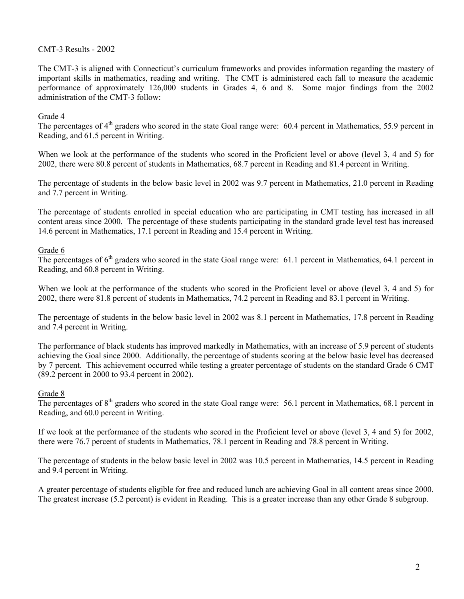### CMT-3 Results - 2002

The CMT-3 is aligned with Connecticut's curriculum frameworks and provides information regarding the mastery of important skills in mathematics, reading and writing. The CMT is administered each fall to measure the academic performance of approximately 126,000 students in Grades 4, 6 and 8. Some major findings from the 2002 administration of the CMT-3 follow:

#### Grade 4

The percentages of 4<sup>th</sup> graders who scored in the state Goal range were: 60.4 percent in Mathematics, 55.9 percent in Reading, and 61.5 percent in Writing.

When we look at the performance of the students who scored in the Proficient level or above (level 3, 4 and 5) for 2002, there were 80.8 percent of students in Mathematics, 68.7 percent in Reading and 81.4 percent in Writing.

The percentage of students in the below basic level in 2002 was 9.7 percent in Mathematics, 21.0 percent in Reading and 7.7 percent in Writing.

The percentage of students enrolled in special education who are participating in CMT testing has increased in all content areas since 2000. The percentage of these students participating in the standard grade level test has increased 14.6 percent in Mathematics, 17.1 percent in Reading and 15.4 percent in Writing.

#### Grade 6

The percentages of  $6<sup>th</sup>$  graders who scored in the state Goal range were: 61.1 percent in Mathematics, 64.1 percent in Reading, and 60.8 percent in Writing.

When we look at the performance of the students who scored in the Proficient level or above (level 3, 4 and 5) for 2002, there were 81.8 percent of students in Mathematics, 74.2 percent in Reading and 83.1 percent in Writing.

The percentage of students in the below basic level in 2002 was 8.1 percent in Mathematics, 17.8 percent in Reading and 7.4 percent in Writing.

The performance of black students has improved markedly in Mathematics, with an increase of 5.9 percent of students achieving the Goal since 2000. Additionally, the percentage of students scoring at the below basic level has decreased by 7 percent. This achievement occurred while testing a greater percentage of students on the standard Grade 6 CMT (89.2 percent in 2000 to 93.4 percent in 2002).

#### Grade 8

The percentages of  $8<sup>th</sup>$  graders who scored in the state Goal range were: 56.1 percent in Mathematics, 68.1 percent in Reading, and 60.0 percent in Writing.

If we look at the performance of the students who scored in the Proficient level or above (level 3, 4 and 5) for 2002, there were 76.7 percent of students in Mathematics, 78.1 percent in Reading and 78.8 percent in Writing.

The percentage of students in the below basic level in 2002 was 10.5 percent in Mathematics, 14.5 percent in Reading and 9.4 percent in Writing.

A greater percentage of students eligible for free and reduced lunch are achieving Goal in all content areas since 2000. The greatest increase (5.2 percent) is evident in Reading. This is a greater increase than any other Grade 8 subgroup.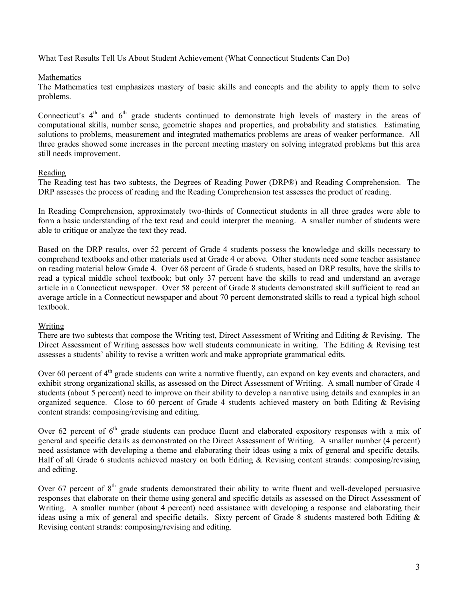#### What Test Results Tell Us About Student Achievement (What Connecticut Students Can Do)

#### Mathematics

The Mathematics test emphasizes mastery of basic skills and concepts and the ability to apply them to solve problems.

Connecticut's  $4<sup>th</sup>$  and  $6<sup>th</sup>$  grade students continued to demonstrate high levels of mastery in the areas of computational skills, number sense, geometric shapes and properties, and probability and statistics. Estimating solutions to problems, measurement and integrated mathematics problems are areas of weaker performance. All three grades showed some increases in the percent meeting mastery on solving integrated problems but this area still needs improvement.

#### Reading

The Reading test has two subtests, the Degrees of Reading Power (DRP®) and Reading Comprehension. The DRP assesses the process of reading and the Reading Comprehension test assesses the product of reading.

In Reading Comprehension, approximately two-thirds of Connecticut students in all three grades were able to form a basic understanding of the text read and could interpret the meaning. A smaller number of students were able to critique or analyze the text they read.

Based on the DRP results, over 52 percent of Grade 4 students possess the knowledge and skills necessary to comprehend textbooks and other materials used at Grade 4 or above. Other students need some teacher assistance on reading material below Grade 4. Over 68 percent of Grade 6 students, based on DRP results, have the skills to read a typical middle school textbook; but only 37 percent have the skills to read and understand an average article in a Connecticut newspaper. Over 58 percent of Grade 8 students demonstrated skill sufficient to read an average article in a Connecticut newspaper and about 70 percent demonstrated skills to read a typical high school textbook.

#### Writing

There are two subtests that compose the Writing test, Direct Assessment of Writing and Editing & Revising. The Direct Assessment of Writing assesses how well students communicate in writing. The Editing & Revising test assesses a students' ability to revise a written work and make appropriate grammatical edits.

Over 60 percent of 4<sup>th</sup> grade students can write a narrative fluently, can expand on key events and characters, and exhibit strong organizational skills, as assessed on the Direct Assessment of Writing. A small number of Grade 4 students (about 5 percent) need to improve on their ability to develop a narrative using details and examples in an organized sequence. Close to 60 percent of Grade 4 students achieved mastery on both Editing & Revising content strands: composing/revising and editing.

Over 62 percent of  $6<sup>th</sup>$  grade students can produce fluent and elaborated expository responses with a mix of general and specific details as demonstrated on the Direct Assessment of Writing. A smaller number (4 percent) need assistance with developing a theme and elaborating their ideas using a mix of general and specific details. Half of all Grade 6 students achieved mastery on both Editing & Revising content strands: composing/revising and editing.

Over 67 percent of  $8<sup>th</sup>$  grade students demonstrated their ability to write fluent and well-developed persuasive responses that elaborate on their theme using general and specific details as assessed on the Direct Assessment of Writing. A smaller number (about 4 percent) need assistance with developing a response and elaborating their ideas using a mix of general and specific details. Sixty percent of Grade 8 students mastered both Editing & Revising content strands: composing/revising and editing.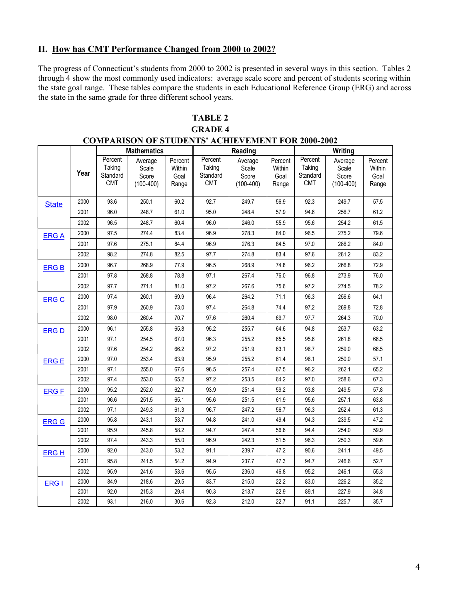## II. How has CMT Performance Changed from 2000 to 2002?

The progress of Connecticut's students from 2000 to 2002 is presented in several ways in this section. Tables 2 through 4 show the most commonly used indicators: average scale score and percent of students scoring within the state goal range. These tables compare the students in each Educational Reference Group (ERG) and across the state in the same grade for three different school years.

## **TABLE 2**

## **GRADE 4**

|              | <b>COMPARISON OF STUDENTS' ACHIEVEMENT FOR 2000-2002</b> |                                             |                                          |                                    |                                             |                                          |                                    |                                             |                                          |                                    |  |  |  |
|--------------|----------------------------------------------------------|---------------------------------------------|------------------------------------------|------------------------------------|---------------------------------------------|------------------------------------------|------------------------------------|---------------------------------------------|------------------------------------------|------------------------------------|--|--|--|
|              |                                                          |                                             | <b>Mathematics</b>                       |                                    |                                             | Reading                                  |                                    |                                             | Writing                                  |                                    |  |  |  |
|              | Year                                                     | Percent<br>Taking<br>Standard<br><b>CMT</b> | Average<br>Scale<br>Score<br>$(100-400)$ | Percent<br>Within<br>Goal<br>Range | Percent<br>Taking<br>Standard<br><b>CMT</b> | Average<br>Scale<br>Score<br>$(100-400)$ | Percent<br>Within<br>Goal<br>Range | Percent<br>Taking<br>Standard<br><b>CMT</b> | Average<br>Scale<br>Score<br>$(100-400)$ | Percent<br>Within<br>Goal<br>Range |  |  |  |
| <b>State</b> | 2000                                                     | 93.6                                        | 250.1                                    | 60.2                               | 92.7                                        | 249.7                                    | 56.9                               | 92.3                                        | 249.7                                    | 57.5                               |  |  |  |
|              | 2001                                                     | 96.0                                        | 248.7                                    | 61.0                               | 95.0                                        | 248.4                                    | 57.9                               | 94.6                                        | 256.7                                    | 61.2                               |  |  |  |
|              | 2002                                                     | 96.5                                        | 248.7                                    | 60.4                               | 96.0                                        | 246.0                                    | 55.9                               | 95.6                                        | 254.2                                    | 61.5                               |  |  |  |
| <b>ERGA</b>  | 2000                                                     | 97.5                                        | 274.4                                    | 83.4                               | 96.9                                        | 278.3                                    | 84.0                               | 96.5                                        | 275.2                                    | 79.6                               |  |  |  |
|              | 2001                                                     | 97.6                                        | 275.1                                    | 84.4                               | 96.9                                        | 276.3                                    | 84.5                               | 97.0                                        | 286.2                                    | 84.0                               |  |  |  |
|              | 2002                                                     | 98.2                                        | 274.8                                    | 82.5                               | 97.7                                        | 274.8                                    | 83.4                               | 97.6                                        | 281.2                                    | 83.2                               |  |  |  |
| <b>ERG B</b> | 2000                                                     | 96.7                                        | 268.9                                    | 77.9                               | 96.5                                        | 268.9                                    | 74.8                               | 96.2                                        | 266.8                                    | 72.9                               |  |  |  |
|              | 2001                                                     | 97.8                                        | 268.8                                    | 78.8                               | 97.1                                        | 267.4                                    | 76.0                               | 96.8                                        | 273.9                                    | 76.0                               |  |  |  |
|              | 2002                                                     | 97.7                                        | 271.1                                    | 81.0                               | 97.2                                        | 267.6                                    | 75.6                               | 97.2                                        | 274.5                                    | 78.2                               |  |  |  |
| <b>ERG C</b> | 2000                                                     | 97.4                                        | 260.1                                    | 69.9                               | 96.4                                        | 264.2                                    | 71.1                               | 96.3                                        | 256.6                                    | 64.1                               |  |  |  |
|              | 2001                                                     | 97.9                                        | 260.9                                    | 73.0                               | 97.4                                        | 264.8                                    | 74.4                               | 97.2                                        | 269.8                                    | 72.8                               |  |  |  |
|              | 2002                                                     | 98.0                                        | 260.4                                    | 70.7                               | 97.6                                        | 260.4                                    | 69.7                               | 97.7                                        | 264.3                                    | 70.0                               |  |  |  |
| <b>ERGD</b>  | 2000                                                     | 96.1                                        | 255.8                                    | 65.8                               | 95.2                                        | 255.7                                    | 64.6                               | 94.8                                        | 253.7                                    | 63.2                               |  |  |  |
|              | 2001                                                     | 97.1                                        | 254.5                                    | 67.0                               | 96.3                                        | 255.2                                    | 65.5                               | 95.6                                        | 261.8                                    | 66.5                               |  |  |  |
|              | 2002                                                     | 97.6                                        | 254.2                                    | 66.2                               | 97.2                                        | 251.9                                    | 63.1                               | 96.7                                        | 259.0                                    | 66.5                               |  |  |  |
| <b>ERGE</b>  | 2000                                                     | 97.0                                        | 253.4                                    | 63.9                               | 95.9                                        | 255.2                                    | 61.4                               | 96.1                                        | 250.0                                    | 57.1                               |  |  |  |
|              | 2001                                                     | 97.1                                        | 255.0                                    | 67.6                               | 96.5                                        | 257.4                                    | 67.5                               | 96.2                                        | 262.1                                    | 65.2                               |  |  |  |
|              | 2002                                                     | 97.4                                        | 253.0                                    | 65.2                               | 97.2                                        | 253.5                                    | 64.2                               | 97.0                                        | 258.6                                    | 67.3                               |  |  |  |
| <b>ERGF</b>  | 2000                                                     | 95.2                                        | 252.0                                    | 62.7                               | 93.9                                        | 251.4                                    | 59.2                               | 93.8                                        | 249.5                                    | 57.8                               |  |  |  |
|              | 2001                                                     | 96.6                                        | 251.5                                    | 65.1                               | 95.6                                        | 251.5                                    | 61.9                               | 95.6                                        | 257.1                                    | 63.8                               |  |  |  |
|              | 2002                                                     | 97.1                                        | 249.3                                    | 61.3                               | 96.7                                        | 247.2                                    | 56.7                               | 96.3                                        | 252.4                                    | 61.3                               |  |  |  |
| <b>ERG G</b> | 2000                                                     | 95.8                                        | 243.1                                    | 53.7                               | 94.8                                        | 241.0                                    | 49.4                               | 94.3                                        | 239.5                                    | 47.2                               |  |  |  |
|              | 2001                                                     | 95.9                                        | 245.8                                    | 58.2                               | 94.7                                        | 247.4                                    | 56.6                               | 94.4                                        | 254.0                                    | 59.9                               |  |  |  |
|              | 2002                                                     | 97.4                                        | 243.3                                    | 55.0                               | 96.9                                        | 242.3                                    | 51.5                               | 96.3                                        | 250.3                                    | 59.6                               |  |  |  |
| <b>ERGH</b>  | 2000                                                     | 92.0                                        | 243.0                                    | 53.2                               | 91.1                                        | 239.7                                    | 47.2                               | 90.6                                        | 241.1                                    | 49.5                               |  |  |  |
|              | 2001                                                     | 95.8                                        | 241.5                                    | 54.2                               | 94.9                                        | 237.7                                    | 47.3                               | 94.7                                        | 246.6                                    | 52.7                               |  |  |  |
|              | 2002                                                     | 95.9                                        | 241.6                                    | 53.6                               | 95.5                                        | 236.0                                    | 46.8                               | 95.2                                        | 246.1                                    | 55.3                               |  |  |  |
| ERG I        | 2000                                                     | 84.9                                        | 218.6                                    | 29.5                               | 83.7                                        | 215.0                                    | 22.2                               | 83.0                                        | 226.2                                    | 35.2                               |  |  |  |
|              | 2001                                                     | 92.0                                        | 215.3                                    | 29.4                               | 90.3                                        | 213.7                                    | 22.9                               | 89.1                                        | 227.9                                    | 34.8                               |  |  |  |
|              | 2002                                                     | 93.1                                        | 216.0                                    | 30.6                               | 92.3                                        | 212.0                                    | 22.7                               | 91.1                                        | 225.7                                    | 35.7                               |  |  |  |

**COMPARISON OF STUDENTS' ACHIEVEMENT FOR 2000-2002**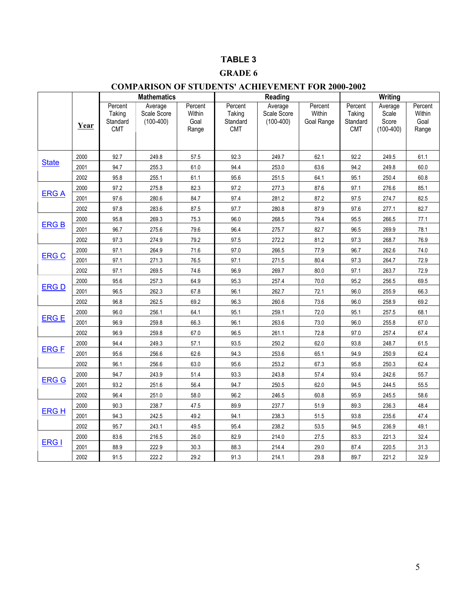## **TABLE 3**

## **GRADE 6**

## **COMPARISON OF STUDENTS' ACHIEVEMENT FOR 2000-2002**

|              |      |                                             | <b>Mathematics</b>                    |                                    | Reading                                     |                                       |                                 | Writing                                     |                                          |                                    |  |
|--------------|------|---------------------------------------------|---------------------------------------|------------------------------------|---------------------------------------------|---------------------------------------|---------------------------------|---------------------------------------------|------------------------------------------|------------------------------------|--|
|              | Year | Percent<br>Taking<br>Standard<br><b>CMT</b> | Average<br>Scale Score<br>$(100-400)$ | Percent<br>Within<br>Goal<br>Range | Percent<br>Taking<br>Standard<br><b>CMT</b> | Average<br>Scale Score<br>$(100-400)$ | Percent<br>Within<br>Goal Range | Percent<br>Taking<br>Standard<br><b>CMT</b> | Average<br>Scale<br>Score<br>$(100-400)$ | Percent<br>Within<br>Goal<br>Range |  |
|              | 2000 | 92.7                                        | 249.8                                 | 57.5                               | 92.3                                        | 249.7                                 | 62.1                            | 92.2                                        | 249.5                                    | 61.1                               |  |
| <b>State</b> | 2001 | 94.7                                        | 255.3                                 | 61.0                               | 94.4                                        | 253.0                                 | 63.6                            | 94.2                                        | 249.8                                    | 60.0                               |  |
|              | 2002 | 95.8                                        | 255.1                                 | 61.1                               | 95.6                                        | 251.5                                 | 64.1                            | 95.1                                        | 250.4                                    | 60.8                               |  |
|              | 2000 | 97.2                                        | 275.8                                 | 82.3                               | 97.2                                        | 277.3                                 | 87.6                            | 97.1                                        | 276.6                                    | 85.1                               |  |
| <b>ERGA</b>  | 2001 | 97.6                                        | 280.6                                 | 84.7                               | 97.4                                        | 281.2                                 | 87.2                            | 97.5                                        | 274.7                                    | 82.5                               |  |
|              | 2002 | 97.8                                        | 283.6                                 | 87.5                               | 97.7                                        | 280.8                                 | 87.9                            | 97.6                                        | 277.1                                    | 82.7                               |  |
|              | 2000 | 95.8                                        | 269.3                                 | 75.3                               | 96.0                                        | 268.5                                 | 79.4                            | 95.5                                        | 266.5                                    | 77.1                               |  |
| <b>ERGB</b>  | 2001 | 96.7                                        | 275.6                                 | 79.6                               | 96.4                                        | 275.7                                 | 82.7                            | 96.5                                        | 269.9                                    | 78.1                               |  |
|              | 2002 | 97.3                                        | 274.9                                 | 79.2                               | 97.5                                        | 272.2                                 | 81.2                            | 97.3                                        | 268.7                                    | 76.9                               |  |
|              | 2000 | 97.1                                        | 264.9                                 | 71.6                               | 97.0                                        | 266.5                                 | 77.9                            | 96.7                                        | 262.6                                    | 74.0                               |  |
| <b>ERG C</b> | 2001 | 97.1                                        | 271.3                                 | 76.5                               | 97.1                                        | 271.5                                 | 80.4                            | 97.3                                        | 264.7                                    | 72.9                               |  |
|              | 2002 | 97.1                                        | 269.5                                 | 74.6                               | 96.9                                        | 269.7                                 | 80.0                            | 97.1                                        | 263.7                                    | 72.9                               |  |
| <b>ERGD</b>  | 2000 | 95.6                                        | 257.3                                 | 64.9                               | 95.3                                        | 257.4                                 | 70.0                            | 95.2                                        | 256.5                                    | 69.5                               |  |
|              | 2001 | 96.5                                        | 262.3                                 | 67.8                               | 96.1                                        | 262.7                                 | 72.1                            | 96.0                                        | 255.9                                    | 66.3                               |  |
|              | 2002 | 96.8                                        | 262.5                                 | 69.2                               | 96.3                                        | 260.6                                 | 73.6                            | 96.0                                        | 258.9                                    | 69.2                               |  |
| <b>ERGE</b>  | 2000 | 96.0                                        | 256.1                                 | 64.1                               | 95.1                                        | 259.1                                 | 72.0                            | 95.1                                        | 257.5                                    | 68.1                               |  |
|              | 2001 | 96.9                                        | 259.8                                 | 66.3                               | 96.1                                        | 263.6                                 | 73.0                            | 96.0                                        | 255.8                                    | 67.0                               |  |
|              | 2002 | 96.9                                        | 259.8                                 | 67.0                               | 96.5                                        | 261.1                                 | 72.8                            | 97.0                                        | 257.4                                    | 67.4                               |  |
| <b>ERGF</b>  | 2000 | 94.4                                        | 249.3                                 | 57.1                               | 93.5                                        | 250.2                                 | 62.0                            | 93.8                                        | 248.7                                    | 61.5                               |  |
|              | 2001 | 95.6                                        | 256.6                                 | 62.6                               | 94.3                                        | 253.6                                 | 65.1                            | 94.9                                        | 250.9                                    | 62.4                               |  |
|              | 2002 | 96.1                                        | 256.6                                 | 63.0                               | 95.6                                        | 253.2                                 | 67.3                            | 95.8                                        | 250.3                                    | 62.4                               |  |
| <b>ERG G</b> | 2000 | 94.7                                        | 243.9                                 | 51.4                               | 93.3                                        | 243.8                                 | 57.4                            | 93.4                                        | 242.6                                    | 55.7                               |  |
|              | 2001 | 93.2                                        | 251.6                                 | 56.4                               | 94.7                                        | 250.5                                 | 62.0                            | 94.5                                        | 244.5                                    | 55.5                               |  |
|              | 2002 | 96.4                                        | 251.0                                 | 58.0                               | 96.2                                        | 246.5                                 | 60.8                            | 95.9                                        | 245.5                                    | 58.6                               |  |
| <b>ERGH</b>  | 2000 | 90.3                                        | 238.7                                 | 47.5                               | 89.9                                        | 237.7                                 | 51.9                            | 89.3                                        | 236.3                                    | 48.4                               |  |
|              | 2001 | 94.3                                        | 242.5                                 | 49.2                               | 94.1                                        | 238.3                                 | 51.5                            | 93.8                                        | 235.6                                    | 47.4                               |  |
|              | 2002 | 95.7                                        | 243.1                                 | 49.5                               | 95.4                                        | 238.2                                 | 53.5                            | 94.5                                        | 236.9                                    | 49.1                               |  |
| ERG I        | 2000 | 83.6                                        | 216.5                                 | 26.0                               | 82.9                                        | 214.0                                 | 27.5                            | 83.3                                        | 221.3                                    | 32.4                               |  |
|              | 2001 | 88.9                                        | 222.9                                 | 30.3                               | 88.3                                        | 214.4                                 | 29.0                            | 87.4                                        | 220.5                                    | 31.3                               |  |
|              | 2002 | 91.5                                        | 222.2                                 | 29.2                               | 91.3                                        | 214.1                                 | 29.8                            | 89.7                                        | 221.2                                    | 32.9                               |  |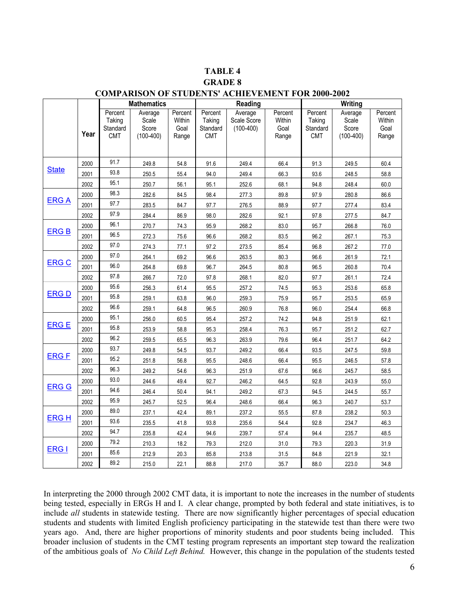# **TABLE 4**

## **GRADE 8**

|              |      |                                             | <b>Mathematics</b>                       |                                    |                                             | Reading                               |                                    |                                             | Writing                                  |                                    |
|--------------|------|---------------------------------------------|------------------------------------------|------------------------------------|---------------------------------------------|---------------------------------------|------------------------------------|---------------------------------------------|------------------------------------------|------------------------------------|
|              | Year | Percent<br>Taking<br>Standard<br><b>CMT</b> | Average<br>Scale<br>Score<br>$(100-400)$ | Percent<br>Within<br>Goal<br>Range | Percent<br>Taking<br>Standard<br><b>CMT</b> | Average<br>Scale Score<br>$(100-400)$ | Percent<br>Within<br>Goal<br>Range | Percent<br>Taking<br>Standard<br><b>CMT</b> | Average<br>Scale<br>Score<br>$(100-400)$ | Percent<br>Within<br>Goal<br>Range |
|              |      |                                             |                                          |                                    |                                             |                                       |                                    |                                             |                                          |                                    |
|              | 2000 | 91.7                                        | 249.8                                    | 54.8                               | 91.6                                        | 249.4                                 | 66.4                               | 91.3                                        | 249.5                                    | 60.4                               |
| <b>State</b> | 2001 | 93.8                                        | 250.5                                    | 55.4                               | 94.0                                        | 249.4                                 | 66.3                               | 93.6                                        | 248.5                                    | 58.8                               |
|              | 2002 | 95.1                                        | 250.7                                    | 56.1                               | 95.1                                        | 252.6                                 | 68.1                               | 94.8                                        | 248.4                                    | 60.0                               |
|              | 2000 | 98.3                                        | 282.6                                    | 84.5                               | 98.4                                        | 277.3                                 | 89.8                               | 97.9                                        | 280.8                                    | 86.6                               |
| <b>ERGA</b>  | 2001 | 97.7                                        | 283.5                                    | 84.7                               | 97.7                                        | 276.5                                 | 88.9                               | 97.7                                        | 277.4                                    | 83.4                               |
|              | 2002 | 97.9                                        | 284.4                                    | 86.9                               | 98.0                                        | 282.6                                 | 92.1                               | 97.8                                        | 277.5                                    | 84.7                               |
|              | 2000 | 96.1                                        | 270.7                                    | 74.3                               | 95.9                                        | 268.2                                 | 83.0                               | 95.7                                        | 266.8                                    | 76.0                               |
| <b>ERGB</b>  | 2001 | 96.5                                        | 272.3                                    | 75.6                               | 96.6                                        | 268.2                                 | 83.5                               | 96.2                                        | 267.1                                    | 75.3                               |
|              | 2002 | 97.0                                        | 274.3                                    | 77.1                               | 97.2                                        | 273.5                                 | 85.4                               | 96.8                                        | 267.2                                    | 77.0                               |
|              | 2000 | 97.0                                        | 264.1                                    | 69.2                               | 96.6                                        | 263.5                                 | 80.3                               | 96.6                                        | 261.9                                    | 72.1                               |
| <b>ERG C</b> | 2001 | 96.0                                        | 264.8                                    | 69.8                               | 96.7                                        | 264.5                                 | 80.8                               | 96.5                                        | 260.8                                    | 70.4                               |
|              | 2002 | 97.8                                        | 266.7                                    | 72.0                               | 97.8                                        | 268.1                                 | 82.0                               | 97.7                                        | 261.1                                    | 72.4                               |
|              | 2000 | 95.6                                        | 256.3                                    | 61.4                               | 95.5                                        | 257.2                                 | 74.5                               | 95.3                                        | 253.6                                    | 65.8                               |
| <b>ERGD</b>  | 2001 | 95.8                                        | 259.1                                    | 63.8                               | 96.0                                        | 259.3                                 | 75.9                               | 95.7                                        | 253.5                                    | 65.9                               |
|              | 2002 | 96.6                                        | 259.1                                    | 64.8                               | 96.5                                        | 260.9                                 | 76.8                               | 96.0                                        | 254.4                                    | 66.8                               |
|              | 2000 | 95.1                                        | 256.0                                    | 60.5                               | 95.4                                        | 257.2                                 | 74.2                               | 94.8                                        | 251.9                                    | 62.1                               |
| <b>ERGE</b>  | 2001 | 95.8                                        | 253.9                                    | 58.8                               | 95.3                                        | 258.4                                 | 76.3                               | 95.7                                        | 251.2                                    | 62.7                               |
|              | 2002 | 96.2                                        | 259.5                                    | 65.5                               | 96.3                                        | 263.9                                 | 79.6                               | 96.4                                        | 251.7                                    | 64.2                               |
|              | 2000 | 93.7                                        | 249.8                                    | 54.5                               | 93.7                                        | 249.2                                 | 66.4                               | 93.5                                        | 247.5                                    | 59.8                               |
| <b>ERGF</b>  | 2001 | 95.2                                        | 251.8                                    | 56.8                               | 95.5                                        | 248.6                                 | 66.4                               | 95.5                                        | 246.5                                    | 57.8                               |
|              | 2002 | 96.3                                        | 249.2                                    | 54.6                               | 96.3                                        | 251.9                                 | 67.6                               | 96.6                                        | 245.7                                    | 58.5                               |
|              | 2000 | 93.0                                        | 244.6                                    | 49.4                               | 92.7                                        | 246.2                                 | 64.5                               | 92.8                                        | 243.9                                    | 55.0                               |
| <b>ERG G</b> | 2001 | 94.6                                        | 246.4                                    | 50.4                               | 94.1                                        | 249.2                                 | 67.3                               | 94.5                                        | 244.5                                    | 55.7                               |
|              | 2002 | 95.9                                        | 245.7                                    | 52.5                               | 96.4                                        | 248.6                                 | 66.4                               | 96.3                                        | 240.7                                    | 53.7                               |
|              | 2000 | 89.0                                        | 237.1                                    | 42.4                               | 89.1                                        | 237.2                                 | 55.5                               | 87.8                                        | 238.2                                    | 50.3                               |
| <b>ERGH</b>  | 2001 | 93.6                                        | 235.5                                    | 41.8                               | 93.8                                        | 235.6                                 | 54.4                               | 92.8                                        | 234.7                                    | 46.3                               |
|              | 2002 | 94.7                                        | 235.8                                    | 42.4                               | 94.6                                        | 239.7                                 | 57.4                               | 94.4                                        | 235.7                                    | 48.5                               |
|              | 2000 | 79.2                                        | 210.3                                    | 18.2                               | 79.3                                        | 212.0                                 | 31.0                               | 79.3                                        | 220.3                                    | 31.9                               |
| ERG I        | 2001 | 85.6                                        | 212.9                                    | 20.3                               | 85.8                                        | 213.8                                 | 31.5                               | 84.8                                        | 221.9                                    | 32.1                               |
|              | 2002 | 89.2                                        | 215.0                                    | 22.1                               | 88.8                                        | 217.0                                 | 35.7                               | 88.0                                        | 223.0                                    | 34.8                               |

## **COMPARISON OF STUDENTS' ACHIEVEMENT FOR 2000-2002**

In interpreting the 2000 through 2002 CMT data, it is important to note the increases in the number of students being tested, especially in ERGs H and I. A clear change, prompted by both federal and state initiatives, is to include *all* students in statewide testing. There are now significantly higher percentages of special education students and students with limited English proficiency participating in the statewide test than there were two years ago. And, there are higher proportions of minority students and poor students being included. This broader inclusion of students in the CMT testing program represents an important step toward the realization of the ambitious goals of *No Child Left Behind.* However, this change in the population of the students tested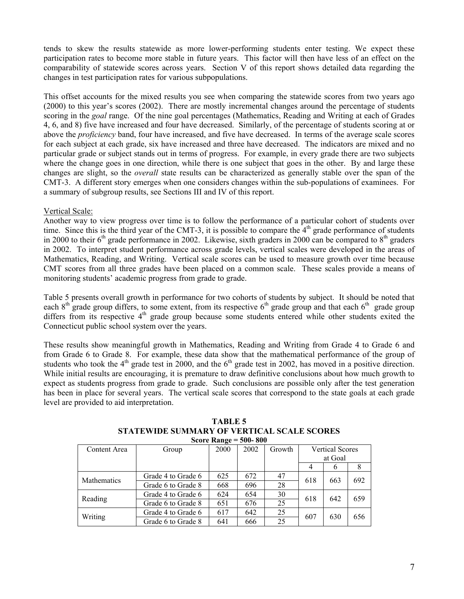tends to skew the results statewide as more lower-performing students enter testing. We expect these participation rates to become more stable in future years. This factor will then have less of an effect on the comparability of statewide scores across years. Section V of this report shows detailed data regarding the changes in test participation rates for various subpopulations.

This offset accounts for the mixed results you see when comparing the statewide scores from two years ago (2000) to this year's scores (2002). There are mostly incremental changes around the percentage of students scoring in the *goal* range. Of the nine goal percentages (Mathematics, Reading and Writing at each of Grades 4, 6, and 8) five have increased and four have decreased. Similarly, of the percentage of students scoring at or above the *proficiency* band, four have increased, and five have decreased. In terms of the average scale scores for each subject at each grade, six have increased and three have decreased. The indicators are mixed and no particular grade or subject stands out in terms of progress. For example, in every grade there are two subjects where the change goes in one direction, while there is one subject that goes in the other. By and large these changes are slight, so the *overall* state results can be characterized as generally stable over the span of the CMT-3. A different story emerges when one considers changes within the sub-populations of examinees. For a summary of subgroup results, see Sections III and IV of this report.

#### Vertical Scale:

Another way to view progress over time is to follow the performance of a particular cohort of students over time. Since this is the third year of the CMT-3, it is possible to compare the  $4<sup>th</sup>$  grade performance of students in 2000 to their  $6<sup>th</sup>$  grade performance in 2002. Likewise, sixth graders in 2000 can be compared to  $8<sup>th</sup>$  graders in 2002. To interpret student performance across grade levels, vertical scales were developed in the areas of Mathematics, Reading, and Writing. Vertical scale scores can be used to measure growth over time because CMT scores from all three grades have been placed on a common scale. These scales provide a means of monitoring students' academic progress from grade to grade.

Table 5 presents overall growth in performance for two cohorts of students by subject. It should be noted that each  $8<sup>th</sup>$  grade group differs, to some extent, from its respective  $6<sup>th</sup>$  grade group and that each  $6<sup>th</sup>$  grade group differs from its respective  $4<sup>th</sup>$  grade group because some students entered while other students exited the Connecticut public school system over the years.

These results show meaningful growth in Mathematics, Reading and Writing from Grade 4 to Grade 6 and from Grade 6 to Grade 8. For example, these data show that the mathematical performance of the group of students who took the  $4<sup>th</sup>$  grade test in 2000, and the  $6<sup>th</sup>$  grade test in 2002, has moved in a positive direction. While initial results are encouraging, it is premature to draw definitive conclusions about how much growth to expect as students progress from grade to grade. Such conclusions are possible only after the test generation has been in place for several years. The vertical scale scores that correspond to the state goals at each grade level are provided to aid interpretation.

|                    |                    | $\text{C}$ or $\text{C}$ $\text{C}$ $\text{C}$ $\text{C}$ $\text{C}$ $\text{C}$ $\text{C}$ $\text{C}$ $\text{C}$ $\text{C}$ $\text{C}$ $\text{C}$ $\text{C}$ $\text{C}$ $\text{C}$ $\text{C}$ $\text{C}$ $\text{C}$ $\text{C}$ $\text{C}$ $\text{C}$ $\text{C}$ $\text{C}$ $\text{C}$ $\text{C}$ $\text{C}$ $\$ |      |        |                        |          |     |
|--------------------|--------------------|-----------------------------------------------------------------------------------------------------------------------------------------------------------------------------------------------------------------------------------------------------------------------------------------------------------------|------|--------|------------------------|----------|-----|
| Content Area       | Group              | 2000                                                                                                                                                                                                                                                                                                            | 2002 | Growth | <b>Vertical Scores</b> |          |     |
|                    |                    |                                                                                                                                                                                                                                                                                                                 |      |        | at Goal                |          |     |
|                    |                    |                                                                                                                                                                                                                                                                                                                 |      |        | 4                      | $\sigma$ | 8   |
| <b>Mathematics</b> | Grade 4 to Grade 6 | 625                                                                                                                                                                                                                                                                                                             | 672  | 47     | 618                    | 663      | 692 |
|                    | Grade 6 to Grade 8 | 668                                                                                                                                                                                                                                                                                                             | 696  | 28     |                        |          |     |
| Reading            | Grade 4 to Grade 6 | 624                                                                                                                                                                                                                                                                                                             | 654  | 30     | 618                    | 642      | 659 |
|                    | Grade 6 to Grade 8 | 651                                                                                                                                                                                                                                                                                                             | 676  | 25     |                        |          |     |
| Writing            | Grade 4 to Grade 6 | 617                                                                                                                                                                                                                                                                                                             | 642  | 25     | 607                    | 630      | 656 |
|                    | Grade 6 to Grade 8 | 641                                                                                                                                                                                                                                                                                                             | 666  | 25     |                        |          |     |

#### **TABLE 5 STATEWIDE SUMMARY OF VERTICAL SCALE SCORES Score Range = 500- 800**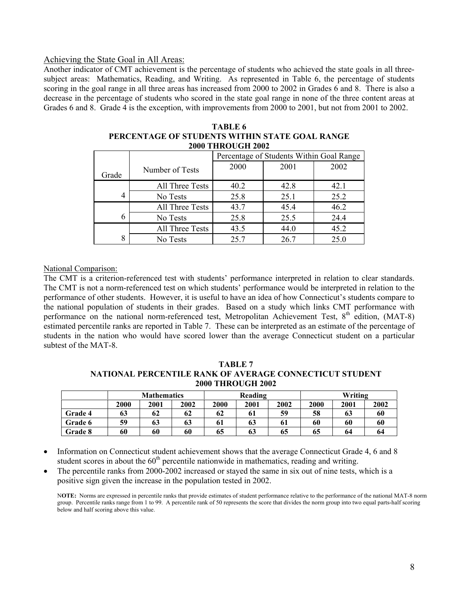#### Achieving the State Goal in All Areas:

Another indicator of CMT achievement is the percentage of students who achieved the state goals in all threesubject areas: Mathematics, Reading, and Writing. As represented in Table 6, the percentage of students scoring in the goal range in all three areas has increased from 2000 to 2002 in Grades 6 and 8. There is also a decrease in the percentage of students who scored in the state goal range in none of the three content areas at Grades 6 and 8. Grade 4 is the exception, with improvements from 2000 to 2001, but not from 2001 to 2002.

|                |                 | Percentage of Students Within Goal Range |      |      |  |  |  |  |  |
|----------------|-----------------|------------------------------------------|------|------|--|--|--|--|--|
| Grade          | Number of Tests | 2000                                     | 2001 | 2002 |  |  |  |  |  |
|                | All Three Tests | 40.2                                     | 42.8 | 42.1 |  |  |  |  |  |
| $\overline{4}$ | No Tests        | 25.8                                     | 25.1 | 25.2 |  |  |  |  |  |
|                | All Three Tests | 43.7                                     | 45.4 | 46.2 |  |  |  |  |  |
| 6              | No Tests        | 25.8                                     | 25.5 | 24.4 |  |  |  |  |  |
|                | All Three Tests | 43.5                                     | 44.0 | 45.2 |  |  |  |  |  |
| 8              | No Tests        | 25.7                                     | 26.7 | 25.0 |  |  |  |  |  |

| TABLE 6                                        |
|------------------------------------------------|
| PERCENTAGE OF STUDENTS WITHIN STATE GOAL RANGE |
| <b>2000 THROUGH 2002</b>                       |

#### National Comparison:

The CMT is a criterion-referenced test with students' performance interpreted in relation to clear standards. The CMT is not a norm-referenced test on which students' performance would be interpreted in relation to the performance of other students. However, it is useful to have an idea of how Connecticut's students compare to the national population of students in their grades. Based on a study which links CMT performance with performance on the national norm-referenced test, Metropolitan Achievement Test, 8<sup>th</sup> edition, (MAT-8) estimated percentile ranks are reported in Table 7. These can be interpreted as an estimate of the percentage of students in the nation who would have scored lower than the average Connecticut student on a particular subtest of the MAT-8.

**TABLE 7 NATIONAL PERCENTILE RANK OF AVERAGE CONNECTICUT STUDENT 2000 THROUGH 2002** 

|                | <b>Mathematics</b> |      |      |      | Reading |      |      | Writing |      |  |
|----------------|--------------------|------|------|------|---------|------|------|---------|------|--|
|                | 2000               | 2001 | 2002 | 2000 | 2001    | 2002 | 2000 | 2001    | 2002 |  |
| Grade 4        | 63                 | 62   | 62   | 62   | 61      | 59   | 58   | 63      | 60   |  |
| Grade 6        | 59                 | 63   | 63   | 61   | 63      | 61   | 60   | 60      | 60   |  |
| <b>Grade 8</b> | 60                 | 60   | 60   | 65   | 63      | 65   | 65   | 64      | 64   |  |

• Information on Connecticut student achievement shows that the average Connecticut Grade 4, 6 and 8 student scores in about the  $60<sup>th</sup>$  percentile nationwide in mathematics, reading and writing.

The percentile ranks from 2000-2002 increased or stayed the same in six out of nine tests, which is a positive sign given the increase in the population tested in 2002.

N**OTE:** Norms are expressed in percentile ranks that provide estimates of student performance relative to the performance of the national MAT-8 norm group. Percentile ranks range from 1 to 99. A percentile rank of 50 represents the score that divides the norm group into two equal parts-half scoring below and half scoring above this value.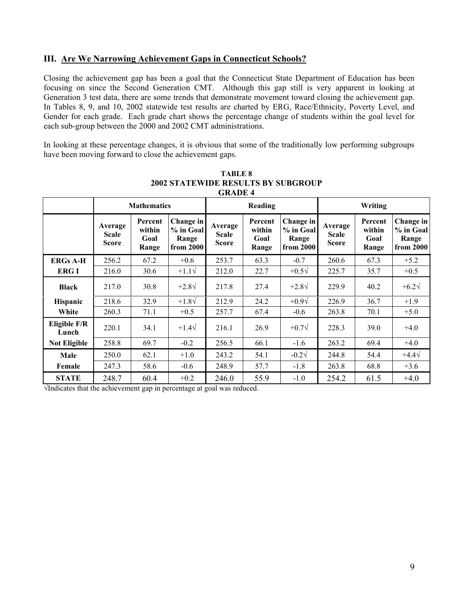## **III. Are We Narrowing Achievement Gaps in Connecticut Schools?**

Closing the achievement gap has been a goal that the Connecticut State Department of Education has been focusing on since the Second Generation CMT. Although this gap still is very apparent in looking at Generation 3 test data, there are some trends that demonstrate movement toward closing the achievement gap. In Tables 8, 9, and 10, 2002 statewide test results are charted by ERG, Race/Ethnicity, Poverty Level, and Gender for each grade. Each grade chart shows the percentage change of students within the goal level for each sub-group between the 2000 and 2002 CMT administrations.

In looking at these percentage changes, it is obvious that some of the traditionally low performing subgroups have been moving forward to close the achievement gaps.

|                       | <b>Mathematics</b>                      |                                    |                                              |                                         | Reading                            |                                              | Writing                                 |                                    |                                              |  |
|-----------------------|-----------------------------------------|------------------------------------|----------------------------------------------|-----------------------------------------|------------------------------------|----------------------------------------------|-----------------------------------------|------------------------------------|----------------------------------------------|--|
|                       | Average<br><b>Scale</b><br><b>Score</b> | Percent<br>within<br>Goal<br>Range | Change in<br>% in Goal<br>Range<br>from 2000 | Average<br><b>Scale</b><br><b>Score</b> | Percent<br>within<br>Goal<br>Range | Change in<br>% in Goal<br>Range<br>from 2000 | Average<br><b>Scale</b><br><b>Score</b> | Percent<br>within<br>Goal<br>Range | Change in<br>% in Goal<br>Range<br>from 2000 |  |
| <b>ERGs A-H</b>       | 256.2                                   | 67.2                               | $+0.6$                                       | 253.7                                   | 63.3                               | $-0.7$                                       | 260.6                                   | 67.3                               | $+5.2$                                       |  |
| <b>ERG I</b>          | 216.0                                   | 30.6                               | $+1.1\sqrt{ }$                               | 212.0                                   | 22.7                               | $+0.5\sqrt{ }$                               | 225.7                                   | 35.7                               | $+0.5$                                       |  |
| <b>Black</b>          | 217.0                                   | 30.8                               | $+2.8\sqrt{ }$                               | 217.8                                   | 27.4                               | $+2.8\sqrt{ }$                               | 229.9                                   | 40.2                               | $+6.2\sqrt{ }$                               |  |
| <b>Hispanic</b>       | 218.6                                   | 32.9                               | $+1.8\sqrt{ }$                               | 212.9                                   | 24.2                               | $+0.9\sqrt{}$                                | 226.9                                   | 36.7                               | $+1.9$                                       |  |
| White                 | 260.3                                   | 71.1                               | $+0.5$                                       | 257.7                                   | 67.4                               | $-0.6$                                       | 263.8                                   | 70.1                               | $+5.0$                                       |  |
| Eligible F/R<br>Lunch | 220.1                                   | 34.1                               | $+1.4\sqrt{ }$                               | 216.1                                   | 26.9                               | $+0.7\sqrt{}$                                | 228.3                                   | 39.0                               | $+4.0$                                       |  |
| <b>Not Eligible</b>   | 258.8                                   | 69.7                               | $-0.2$                                       | 256.5                                   | 66.1                               | $-1.6$                                       | 263.2                                   | 69.4                               | $+4.0$                                       |  |
| Male                  | 250.0                                   | 62.1                               | $+1.0$                                       | 243.2                                   | 54.1                               | $-0.2\sqrt{ }$                               | 244.8                                   | 54.4                               | $+4.4\sqrt{ }$                               |  |
| Female                | 247.3                                   | 58.6                               | $-0.6$                                       | 248.9                                   | 57.7                               | $-1.8$                                       | 263.8                                   | 68.8                               | $+3.6$                                       |  |
| <b>STATE</b>          | 248.7                                   | 60.4                               | $+0.2$                                       | 246.0                                   | 55.9                               | $-1.0$                                       | 254.2                                   | 61.5                               | $+4.0$                                       |  |

**TABLE 8 2002 STATEWIDE RESULTS BY SUBGROUP GRADE 4** 

√Indicates that the achievement gap in percentage at goal was reduced.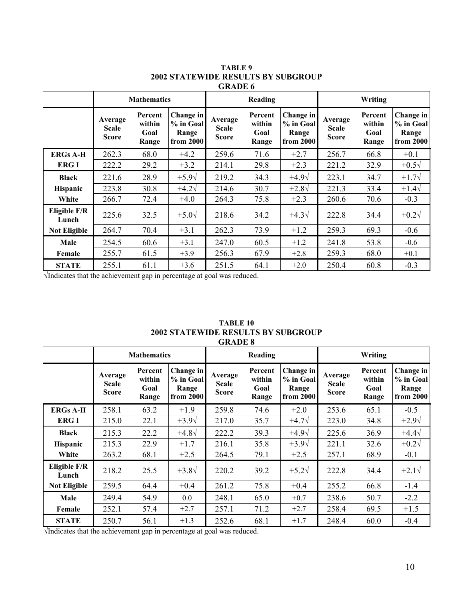|                       |                                         | <b>Mathematics</b>                 |                                              |                                         | Reading                            |                                              | Writing                                 |                                    |                                              |  |
|-----------------------|-----------------------------------------|------------------------------------|----------------------------------------------|-----------------------------------------|------------------------------------|----------------------------------------------|-----------------------------------------|------------------------------------|----------------------------------------------|--|
|                       | Average<br><b>Scale</b><br><b>Score</b> | Percent<br>within<br>Goal<br>Range | Change in<br>% in Goal<br>Range<br>from 2000 | Average<br><b>Scale</b><br><b>Score</b> | Percent<br>within<br>Goal<br>Range | Change in<br>% in Goal<br>Range<br>from 2000 | Average<br><b>Scale</b><br><b>Score</b> | Percent<br>within<br>Goal<br>Range | Change in<br>% in Goal<br>Range<br>from 2000 |  |
| <b>ERGs A-H</b>       | 262.3                                   | 68.0                               | $+4.2$                                       | 259.6                                   | 71.6                               | $+2.7$                                       | 256.7                                   | 66.8                               | $+0.1$                                       |  |
| <b>ERGI</b>           | 222.2                                   | 29.2                               | $+3.2$                                       | 214.1                                   | 29.8                               | $+2.3$                                       | 221.2                                   | 32.9                               | $+0.5\sqrt{ }$                               |  |
| <b>Black</b>          | 221.6                                   | 28.9                               | $+5.9\sqrt{ }$                               | 219.2                                   | 34.3                               | $+4.9\sqrt{}$                                | 223.1                                   | 34.7                               | $+1.7\sqrt{}$                                |  |
| <b>Hispanic</b>       | 223.8                                   | 30.8                               | $+4.2\sqrt{ }$                               | 214.6                                   | 30.7                               | $+2.8\sqrt{ }$                               | 221.3                                   | 33.4                               | $+1.4\sqrt{ }$                               |  |
| White                 | 266.7                                   | 72.4                               | $+4.0$                                       | 264.3                                   | 75.8                               | $+2.3$                                       | 260.6                                   | 70.6                               | $-0.3$                                       |  |
| Eligible F/R<br>Lunch | 225.6                                   | 32.5                               | $+5.0\sqrt{ }$                               | 218.6                                   | 34.2                               | $+4.3\sqrt{ }$                               | 222.8                                   | 34.4                               | $+0.2\sqrt{ }$                               |  |
| <b>Not Eligible</b>   | 264.7                                   | 70.4                               | $+3.1$                                       | 262.3                                   | 73.9                               | $+1.2$                                       | 259.3                                   | 69.3                               | $-0.6$                                       |  |
| Male                  | 254.5                                   | 60.6                               | $+3.1$                                       | 247.0                                   | 60.5                               | $+1.2$                                       | 241.8                                   | 53.8                               | $-0.6$                                       |  |
| Female                | 255.7                                   | 61.5                               | $+3.9$                                       | 256.3                                   | 67.9                               | $+2.8$                                       | 259.3                                   | 68.0                               | $+0.1$                                       |  |
| <b>STATE</b>          | 255.1                                   | 61.1                               | $+3.6$                                       | 251.5                                   | 64.1                               | $+2.0$                                       | 250.4                                   | 60.8                               | $-0.3$                                       |  |

#### **TABLE 9 2002 STATEWIDE RESULTS BY SUBGROUP GRADE 6**

√Indicates that the achievement gap in percentage at goal was reduced.

| TABLE 10                                  |  |
|-------------------------------------------|--|
| <b>2002 STATEWIDE RESULTS BY SUBGROUP</b> |  |
| <b>GRADE 8</b>                            |  |

|                       |                                         | <b>Mathematics</b>                 |                                              |                                         | Reading                            |                                              | Writing                                 |                                    |                                              |  |
|-----------------------|-----------------------------------------|------------------------------------|----------------------------------------------|-----------------------------------------|------------------------------------|----------------------------------------------|-----------------------------------------|------------------------------------|----------------------------------------------|--|
|                       | Average<br><b>Scale</b><br><b>Score</b> | Percent<br>within<br>Goal<br>Range | Change in<br>% in Goal<br>Range<br>from 2000 | Average<br><b>Scale</b><br><b>Score</b> | Percent<br>within<br>Goal<br>Range | Change in<br>% in Goal<br>Range<br>from 2000 | Average<br><b>Scale</b><br><b>Score</b> | Percent<br>within<br>Goal<br>Range | Change in<br>% in Goal<br>Range<br>from 2000 |  |
| <b>ERGs A-H</b>       | 258.1                                   | 63.2                               | $+1.9$                                       | 259.8                                   | 74.6                               | $+2.0$                                       | 253.6                                   | 65.1                               | $-0.5$                                       |  |
| <b>ERG I</b>          | 215.0                                   | 22.1                               | $+3.9\sqrt{ }$                               | 217.0                                   | 35.7                               | $+4.7\sqrt{}$                                | 223.0                                   | 34.8                               | $+2.9\sqrt{ }$                               |  |
| <b>Black</b>          | 215.3                                   | 22.2                               | $+4.8\sqrt{ }$                               | 222.2                                   | 39.3                               | $+4.9\sqrt{}$                                | 225.6                                   | 36.9                               | $+4.4\sqrt{ }$                               |  |
| <b>Hispanic</b>       | 215.3                                   | 22.9                               | $+1.7$                                       | 216.1                                   | 35.8                               | $+3.9\sqrt{ }$                               | 221.1                                   | 32.6                               | $+0.2\sqrt{ }$                               |  |
| White                 | 263.2                                   | 68.1                               | $+2.5$                                       | 264.5                                   | 79.1                               | $+2.5$                                       | 257.1                                   | 68.9                               | $-0.1$                                       |  |
| Eligible F/R<br>Lunch | 218.2                                   | 25.5                               | $+3.8\sqrt{ }$                               | 220.2                                   | 39.2                               | $+5.2\sqrt{ }$                               | 222.8                                   | 34.4                               | $+2.1\sqrt{ }$                               |  |
| <b>Not Eligible</b>   | 259.5                                   | 64.4                               | $+0.4$                                       | 261.2                                   | 75.8                               | $+0.4$                                       | 255.2                                   | 66.8                               | $-1.4$                                       |  |
| Male                  | 249.4                                   | 54.9                               | 0.0                                          | 248.1                                   | 65.0                               | $+0.7$                                       | 238.6                                   | 50.7                               | $-2.2$                                       |  |
| Female                | 252.1                                   | 57.4                               | $+2.7$                                       | 257.1                                   | 71.2                               | $+2.7$                                       | 258.4                                   | 69.5                               | $+1.5$                                       |  |
| <b>STATE</b>          | 250.7                                   | 56.1                               | $+1.3$                                       | 252.6                                   | 68.1                               | $+1.7$                                       | 248.4                                   | 60.0                               | $-0.4$                                       |  |

√Indicates that the achievement gap in percentage at goal was reduced.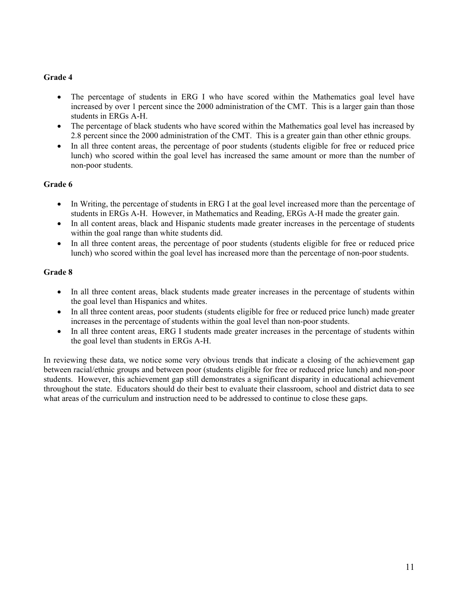### **Grade 4**

- The percentage of students in ERG I who have scored within the Mathematics goal level have increased by over 1 percent since the 2000 administration of the CMT. This is a larger gain than those students in ERGs A-H.
- The percentage of black students who have scored within the Mathematics goal level has increased by 2.8 percent since the 2000 administration of the CMT. This is a greater gain than other ethnic groups.
- In all three content areas, the percentage of poor students (students eligible for free or reduced price lunch) who scored within the goal level has increased the same amount or more than the number of non-poor students.

#### **Grade 6**

- In Writing, the percentage of students in ERG I at the goal level increased more than the percentage of students in ERGs A-H. However, in Mathematics and Reading, ERGs A-H made the greater gain.
- In all content areas, black and Hispanic students made greater increases in the percentage of students within the goal range than white students did.
- In all three content areas, the percentage of poor students (students eligible for free or reduced price lunch) who scored within the goal level has increased more than the percentage of non-poor students.

#### **Grade 8**

- In all three content areas, black students made greater increases in the percentage of students within the goal level than Hispanics and whites.
- In all three content areas, poor students (students eligible for free or reduced price lunch) made greater increases in the percentage of students within the goal level than non-poor students.
- In all three content areas, ERG I students made greater increases in the percentage of students within the goal level than students in ERGs A-H.

In reviewing these data, we notice some very obvious trends that indicate a closing of the achievement gap between racial/ethnic groups and between poor (students eligible for free or reduced price lunch) and non-poor students. However, this achievement gap still demonstrates a significant disparity in educational achievement throughout the state. Educators should do their best to evaluate their classroom, school and district data to see what areas of the curriculum and instruction need to be addressed to continue to close these gaps.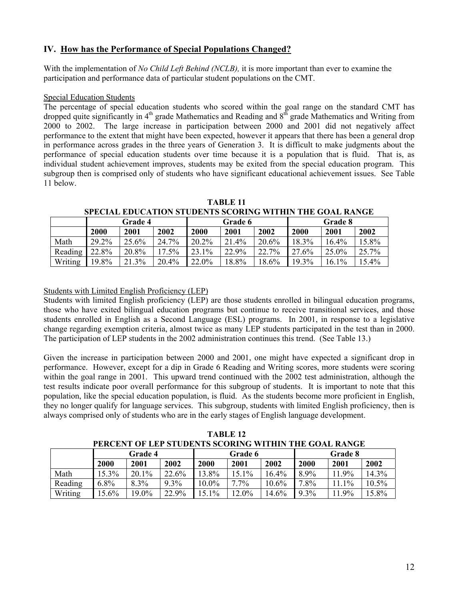## **IV. How has the Performance of Special Populations Changed?**

With the implementation of *No Child Left Behind (NCLB),* it is more important than ever to examine the participation and performance data of particular student populations on the CMT.

#### Special Education Students

The percentage of special education students who scored within the goal range on the standard CMT has dropped quite significantly in 4<sup>th</sup> grade Mathematics and Reading and 8<sup>th</sup> grade Mathematics and Writing from 2000 to 2002. The large increase in participation between 2000 and 2001 did not negatively affect performance to the extent that might have been expected, however it appears that there has been a general drop in performance across grades in the three years of Generation 3. It is difficult to make judgments about the performance of special education students over time because it is a population that is fluid. That is, as individual student achievement improves, students may be exited from the special education program. This subgroup then is comprised only of students who have significant educational achievement issues. See Table 11 below.

|         |                |          |       |         |       |       | <u>M BUND BDUUN NOOD MURD MUUND TII HIIT IND OVND IWN 198</u> |       |       |  |
|---------|----------------|----------|-------|---------|-------|-------|---------------------------------------------------------------|-------|-------|--|
|         | <b>Grade 4</b> |          |       | Grade 6 |       |       | Grade 8                                                       |       |       |  |
|         | 2000           | 2001     | 2002  | 2000    | 2001  | 2002  | 2000                                                          | 2001  | 2002  |  |
| Math    | 29.2%          | $25.6\%$ | 24.7% | 20.2%   | 21.4% | 20.6% | $18.3\%$                                                      | 16.4% | 15.8% |  |
| Reading | 22.8%          | 20.8%    | 17.5% | 23.1%   | 22.9% | 22.7% | 27.6%                                                         | 25.0% | 25.7% |  |
| Writing | 19.8%          | 21.3%    | 20.4% | 22.0%   | 18.8% | 18.6% | 19.3%                                                         | 16.1% | 15.4% |  |

**TABLE 11 SPECIAL EDUCATION STUDENTS SCORING WITHIN THE GOAL RANGE** 

Students with Limited English Proficiency (LEP)

Students with limited English proficiency (LEP) are those students enrolled in bilingual education programs, those who have exited bilingual education programs but continue to receive transitional services, and those students enrolled in English as a Second Language (ESL) programs. In 2001, in response to a legislative change regarding exemption criteria, almost twice as many LEP students participated in the test than in 2000. The participation of LEP students in the 2002 administration continues this trend. (See Table 13.)

Given the increase in participation between 2000 and 2001, one might have expected a significant drop in performance. However, except for a dip in Grade 6 Reading and Writing scores, more students were scoring within the goal range in 2001. This upward trend continued with the 2002 test administration, although the test results indicate poor overall performance for this subgroup of students. It is important to note that this population, like the special education population, is fluid. As the students become more proficient in English, they no longer qualify for language services. This subgroup, students with limited English proficiency, then is always comprised only of students who are in the early stages of English language development.

| PERCENT OF LEF STODENTS SCORING WITHIN THE GOAL KANGE |         |       |         |       |         |          |         |        |          |  |
|-------------------------------------------------------|---------|-------|---------|-------|---------|----------|---------|--------|----------|--|
|                                                       | Grade 4 |       |         |       | Grade 6 |          | Grade 8 |        |          |  |
|                                                       | 2000    | 2001  | 2002    | 2000  | 2001    | 2002     | 2000    | 2001   | 2002     |  |
| Math                                                  | 15.3%   | 20.1% | 22.6%   | 13.8% | 15.1%   | 164%     | 8.9%    | 11.9%  | 14.3%    |  |
| Reading                                               | $6.8\%$ | 8.3%  | $9.3\%$ | 10.0% | $7.7\%$ | $10.6\%$ | $7.8\%$ | 11 1\% | $10.5\%$ |  |
| Writing                                               | 15.6%   | 19.0% | 22.9%   | 15.1% | 12.0%   | 14.6%    | $9.3\%$ | 1.9%   | 15.8%    |  |

**TABLE 12 PERCENT OF LEP STUDENTS SCORING WITHIN THE GOAL RANGE**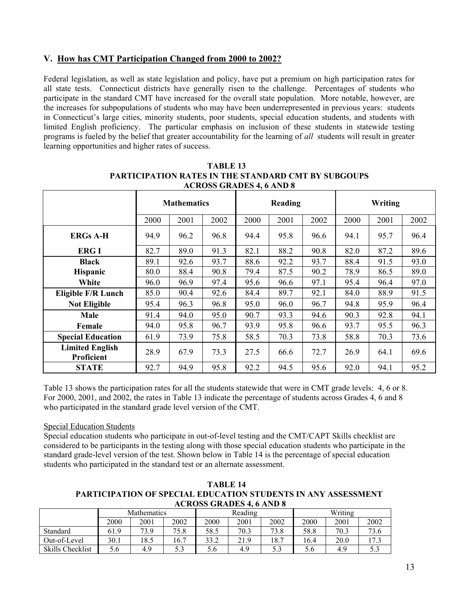## **V. How has CMT Participation Changed from 2000 to 2002?**

Federal legislation, as well as state legislation and policy, have put a premium on high participation rates for all state tests. Connecticut districts have generally risen to the challenge. Percentages of students who participate in the standard CMT have increased for the overall state population. More notable, however, are the increases for subpopulations of students who may have been underrepresented in previous years: students in Connecticut's large cities, minority students, poor students, special education students, and students with limited English proficiency. The particular emphasis on inclusion of these students in statewide testing programs is fueled by the belief that greater accountability for the learning of *all* students will result in greater learning opportunities and higher rates of success.

| <b>HOROPP ORTHUR 40 HTD 0</b>        |                    |      |      |         |      |      |         |      |      |  |
|--------------------------------------|--------------------|------|------|---------|------|------|---------|------|------|--|
|                                      | <b>Mathematics</b> |      |      | Reading |      |      | Writing |      |      |  |
|                                      | 2000               | 2001 | 2002 | 2000    | 2001 | 2002 | 2000    | 2001 | 2002 |  |
| <b>ERGs A-H</b>                      | 94.9               | 96.2 | 96.8 | 94.4    | 95.8 | 96.6 | 94.1    | 95.7 | 96.4 |  |
| <b>ERGI</b>                          | 82.7               | 89.0 | 91.3 | 82.1    | 88.2 | 90.8 | 82.0    | 87.2 | 89.6 |  |
| <b>Black</b>                         | 89.1               | 92.6 | 93.7 | 88.6    | 92.2 | 93.7 | 88.4    | 91.5 | 93.0 |  |
| Hispanic                             | 80.0               | 88.4 | 90.8 | 79.4    | 87.5 | 90.2 | 78.9    | 86.5 | 89.0 |  |
| White                                | 96.0               | 96.9 | 97.4 | 95.6    | 96.6 | 97.1 | 95.4    | 96.4 | 97.0 |  |
| <b>Eligible F/R Lunch</b>            | 85.0               | 90.4 | 92.6 | 84.4    | 89.7 | 92.1 | 84.0    | 88.9 | 91.5 |  |
| <b>Not Eligible</b>                  | 95.4               | 96.3 | 96.8 | 95.0    | 96.0 | 96.7 | 94.8    | 95.9 | 96.4 |  |
| Male                                 | 91.4               | 94.0 | 95.0 | 90.7    | 93.3 | 94.6 | 90.3    | 92.8 | 94.1 |  |
| Female                               | 94.0               | 95.8 | 96.7 | 93.9    | 95.8 | 96.6 | 93.7    | 95.5 | 96.3 |  |
| <b>Special Education</b>             | 61.9               | 73.9 | 75.8 | 58.5    | 70.3 | 73.8 | 58.8    | 70.3 | 73.6 |  |
| <b>Limited English</b><br>Proficient | 28.9               | 67.9 | 73.3 | 27.5    | 66.6 | 72.7 | 26.9    | 64.1 | 69.6 |  |
| <b>STATE</b>                         | 92.7               | 94.9 | 95.8 | 92.2    | 94.5 | 95.6 | 92.0    | 94.1 | 95.2 |  |

**TABLE 13 PARTICIPATION RATES IN THE STANDARD CMT BY SUBGOUPS ACROSS GRADES 4, 6 AND 8** 

Table 13 shows the participation rates for all the students statewide that were in CMT grade levels: 4, 6 or 8. For 2000, 2001, and 2002, the rates in Table 13 indicate the percentage of students across Grades 4, 6 and 8 who participated in the standard grade level version of the CMT.

#### Special Education Students

Special education students who participate in out-of-level testing and the CMT/CAPT Skills checklist are considered to be participants in the testing along with those special education students who participate in the standard grade-level version of the test. Shown below in Table 14 is the percentage of special education students who participated in the standard test or an alternate assessment.

**TABLE 14 PARTICIPATION OF SPECIAL EDUCATION STUDENTS IN ANY ASSESSMENT ACROSS GRADES 4, 6 AND 8** 

|                  | <b>Mathematics</b> |      |      |      | Reading |      | Writing       |      |      |  |
|------------------|--------------------|------|------|------|---------|------|---------------|------|------|--|
|                  | 2000               | 2001 | 2002 | 2000 | 2001    | 2002 | 2000          | 2001 | 2002 |  |
| Standard         | 61.9               | 73.9 | 75.8 | 58.5 | 70.3    | 73.8 | 58.8          | 70.3 | 73.6 |  |
| Out-of-Level     | 30.1               | 18.5 | 16.7 | 33.2 | 21.9    | 18.7 | 16.4          | 20.0 | 17.3 |  |
| Skills Checklist | 5.6                | 4.9  | 53   | 5.6  | 4.9     | 5.3  | $5.6^{\circ}$ | 4.9  | כ. כ |  |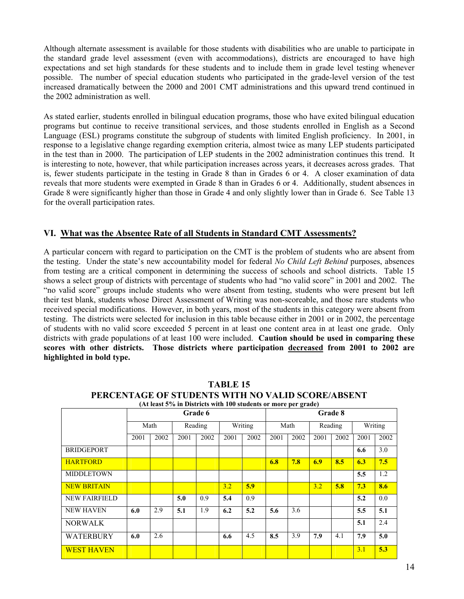Although alternate assessment is available for those students with disabilities who are unable to participate in the standard grade level assessment (even with accommodations), districts are encouraged to have high expectations and set high standards for these students and to include them in grade level testing whenever possible. The number of special education students who participated in the grade-level version of the test increased dramatically between the 2000 and 2001 CMT administrations and this upward trend continued in the 2002 administration as well.

As stated earlier, students enrolled in bilingual education programs, those who have exited bilingual education programs but continue to receive transitional services, and those students enrolled in English as a Second Language (ESL) programs constitute the subgroup of students with limited English proficiency. In 2001, in response to a legislative change regarding exemption criteria, almost twice as many LEP students participated in the test than in 2000. The participation of LEP students in the 2002 administration continues this trend. It is interesting to note, however, that while participation increases across years, it decreases across grades. That is, fewer students participate in the testing in Grade 8 than in Grades 6 or 4. A closer examination of data reveals that more students were exempted in Grade 8 than in Grades 6 or 4. Additionally, student absences in Grade 8 were significantly higher than those in Grade 4 and only slightly lower than in Grade 6. See Table 13 for the overall participation rates.

## **VI. What was the Absentee Rate of all Students in Standard CMT Assessments?**

A particular concern with regard to participation on the CMT is the problem of students who are absent from the testing. Under the state's new accountability model for federal *No Child Left Behind* purposes, absences from testing are a critical component in determining the success of schools and school districts. Table 15 shows a select group of districts with percentage of students who had "no valid score" in 2001 and 2002. The "no valid score" groups include students who were absent from testing, students who were present but left their test blank, students whose Direct Assessment of Writing was non-scoreable, and those rare students who received special modifications. However, in both years, most of the students in this category were absent from testing. The districts were selected for inclusion in this table because either in 2001 or in 2002, the percentage of students with no valid score exceeded 5 percent in at least one content area in at least one grade. Only districts with grade populations of at least 100 were included. **Caution should be used in comparing these scores with other districts. Those districts where participation decreased from 2001 to 2002 are highlighted in bold type.** 

| (At least 5% in Districts with Too students or more per grade) |         |      |      |         |      |                 |         |         |      |         |      |      |
|----------------------------------------------------------------|---------|------|------|---------|------|-----------------|---------|---------|------|---------|------|------|
|                                                                | Grade 6 |      |      |         |      |                 | Grade 8 |         |      |         |      |      |
|                                                                |         | Math |      | Reading |      | Writing<br>Math |         | Reading |      | Writing |      |      |
|                                                                | 2001    | 2002 | 2001 | 2002    | 2001 | 2002            | 2001    | 2002    | 2001 | 2002    | 2001 | 2002 |
| <b>BRIDGEPORT</b>                                              |         |      |      |         |      |                 |         |         |      |         | 6.6  | 3.0  |
| <b>HARTFORD</b>                                                |         |      |      |         |      |                 | 6.8     | 7.8     | 6.9  | 8.5     | 6.3  | 7.5  |
| <b>MIDDLETOWN</b>                                              |         |      |      |         |      |                 |         |         |      |         | 5.5  | 1.2  |
| <b>NEW BRITAIN</b>                                             |         |      |      |         | 3.2  | 5.9             |         |         | 3.2  | 5.8     | 7.3  | 8.6  |
| <b>NEW FAIRFIELD</b>                                           |         |      | 5.0  | 0.9     | 5.4  | 0.9             |         |         |      |         | 5.2  | 0.0  |
| <b>NEW HAVEN</b>                                               | 6.0     | 2.9  | 5.1  | 1.9     | 6.2  | 5.2             | 5.6     | 3.6     |      |         | 5.5  | 5.1  |
| <b>NORWALK</b>                                                 |         |      |      |         |      |                 |         |         |      |         | 5.1  | 2.4  |
| <b>WATERBURY</b>                                               | 6.0     | 2.6  |      |         | 6.6  | 4.5             | 8.5     | 3.9     | 7.9  | 4.1     | 7.9  | 5.0  |
| <b>WEST HAVEN</b>                                              |         |      |      |         |      |                 |         |         |      |         | 3.1  | 5.3  |

**TABLE 15 PERCENTAGE OF STUDENTS WITH NO VALID SCORE/ABSENT (At least 5% in Districts with 100 students or more per grade)**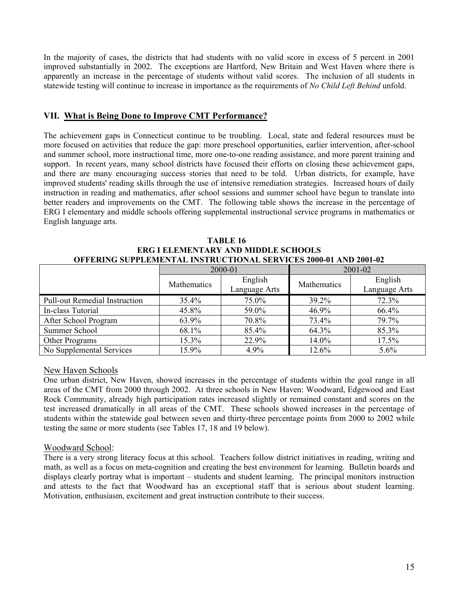In the majority of cases, the districts that had students with no valid score in excess of 5 percent in 2001 improved substantially in 2002. The exceptions are Hartford, New Britain and West Haven where there is apparently an increase in the percentage of students without valid scores. The inclusion of all students in statewide testing will continue to increase in importance as the requirements of *No Child Left Behind* unfold.

### **VII. What is Being Done to Improve CMT Performance?**

The achievement gaps in Connecticut continue to be troubling. Local, state and federal resources must be more focused on activities that reduce the gap: more preschool opportunities, earlier intervention, after-school and summer school, more instructional time, more one-to-one reading assistance, and more parent training and support. In recent years, many school districts have focused their efforts on closing these achievement gaps, and there are many encouraging success stories that need to be told. Urban districts, for example, have improved students' reading skills through the use of intensive remediation strategies. Increased hours of daily instruction in reading and mathematics, after school sessions and summer school have begun to translate into better readers and improvements on the CMT. The following table shows the increase in the percentage of ERG I elementary and middle schools offering supplemental instructional service programs in mathematics or English language arts.

| ERG I ELEMENTARY AND MIDDLE SCHOOLS                                     |             |                          |             |                          |  |  |  |  |
|-------------------------------------------------------------------------|-------------|--------------------------|-------------|--------------------------|--|--|--|--|
| <b>OFFERING SUPPLEMENTAL INSTRUCTIONAL SERVICES 2000-01 AND 2001-02</b> |             |                          |             |                          |  |  |  |  |
|                                                                         |             | 2000-01                  |             | $2001 - 02$              |  |  |  |  |
|                                                                         | Mathematics | English<br>Language Arts | Mathematics | English<br>Language Arts |  |  |  |  |
| <b>Pull-out Remedial Instruction</b>                                    | $35.4\%$    | 75.0%                    | 39.2%       | 72.3%                    |  |  |  |  |
| In-class Tutorial                                                       | 45.8%       | 59.0%                    | 46.9%       | 66.4%                    |  |  |  |  |
| After School Program                                                    | 63.9%       | 70.8%                    | 73.4%       | 79.7%                    |  |  |  |  |

Summer School **68.1%** 85.4% 85.3% 85.3% Other Programs 15.3% 22.9% 14.0% 17.5% No Supplemental Services 15.9% 19.9% 12.6% 5.6%

**TABLE 16 ERG I ELEMENTARY AND MIDDLE SCHOOLS** 

#### New Haven Schools

One urban district, New Haven, showed increases in the percentage of students within the goal range in all areas of the CMT from 2000 through 2002. At three schools in New Haven: Woodward, Edgewood and East Rock Community, already high participation rates increased slightly or remained constant and scores on the test increased dramatically in all areas of the CMT. These schools showed increases in the percentage of students within the statewide goal between seven and thirty-three percentage points from 2000 to 2002 while testing the same or more students (see Tables 17, 18 and 19 below).

#### Woodward School:

There is a very strong literacy focus at this school. Teachers follow district initiatives in reading, writing and math, as well as a focus on meta-cognition and creating the best environment for learning. Bulletin boards and displays clearly portray what is important – students and student learning. The principal monitors instruction and attests to the fact that Woodward has an exceptional staff that is serious about student learning. Motivation, enthusiasm, excitement and great instruction contribute to their success.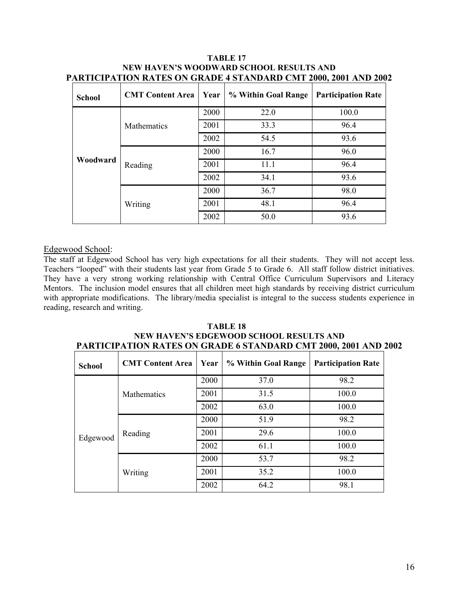| <b>School</b> | <b>CMT Content Area</b> | Year | % Within Goal Range | <b>Participation Rate</b> |
|---------------|-------------------------|------|---------------------|---------------------------|
|               |                         | 2000 | 22.0                | 100.0                     |
|               | <b>Mathematics</b>      | 2001 | 33.3                | 96.4                      |
|               |                         | 2002 | 54.5                | 93.6                      |
|               |                         | 2000 | 16.7                | 96.0                      |
| Woodward      | Reading                 | 2001 | 11.1                | 96.4                      |
|               |                         | 2002 | 34.1                | 93.6                      |
|               |                         | 2000 | 36.7                | 98.0                      |
|               | Writing                 | 2001 | 48.1                | 96.4                      |
|               |                         | 2002 | 50.0                | 93.6                      |

#### **TABLE 17 NEW HAVEN'S WOODWARD SCHOOL RESULTS AND PARTICIPATION RATES ON GRADE 4 STANDARD CMT 2000, 2001 AND 2002**

## Edgewood School:

The staff at Edgewood School has very high expectations for all their students. They will not accept less. Teachers "looped" with their students last year from Grade 5 to Grade 6. All staff follow district initiatives. They have a very strong working relationship with Central Office Curriculum Supervisors and Literacy Mentors. The inclusion model ensures that all children meet high standards by receiving district curriculum with appropriate modifications. The library/media specialist is integral to the success students experience in reading, research and writing.

#### **TABLE 18 NEW HAVEN'S EDGEWOOD SCHOOL RESULTS AND PARTICIPATION RATES ON GRADE 6 STANDARD CMT 2000, 2001 AND 2002**

| <b>School</b> | <b>CMT</b> Content Area | Year | % Within Goal Range | <b>Participation Rate</b> |
|---------------|-------------------------|------|---------------------|---------------------------|
|               |                         | 2000 | 37.0                | 98.2                      |
|               | <b>Mathematics</b>      | 2001 | 31.5                | 100.0                     |
|               |                         | 2002 | 63.0                | 100.0                     |
|               |                         | 2000 | 51.9                | 98.2                      |
| Edgewood      | Reading                 | 2001 | 29.6                | 100.0                     |
|               |                         | 2002 | 61.1                | 100.0                     |
|               |                         | 2000 | 53.7                | 98.2                      |
|               | Writing                 | 2001 | 35.2                | 100.0                     |
|               |                         | 2002 | 64.2                | 98.1                      |